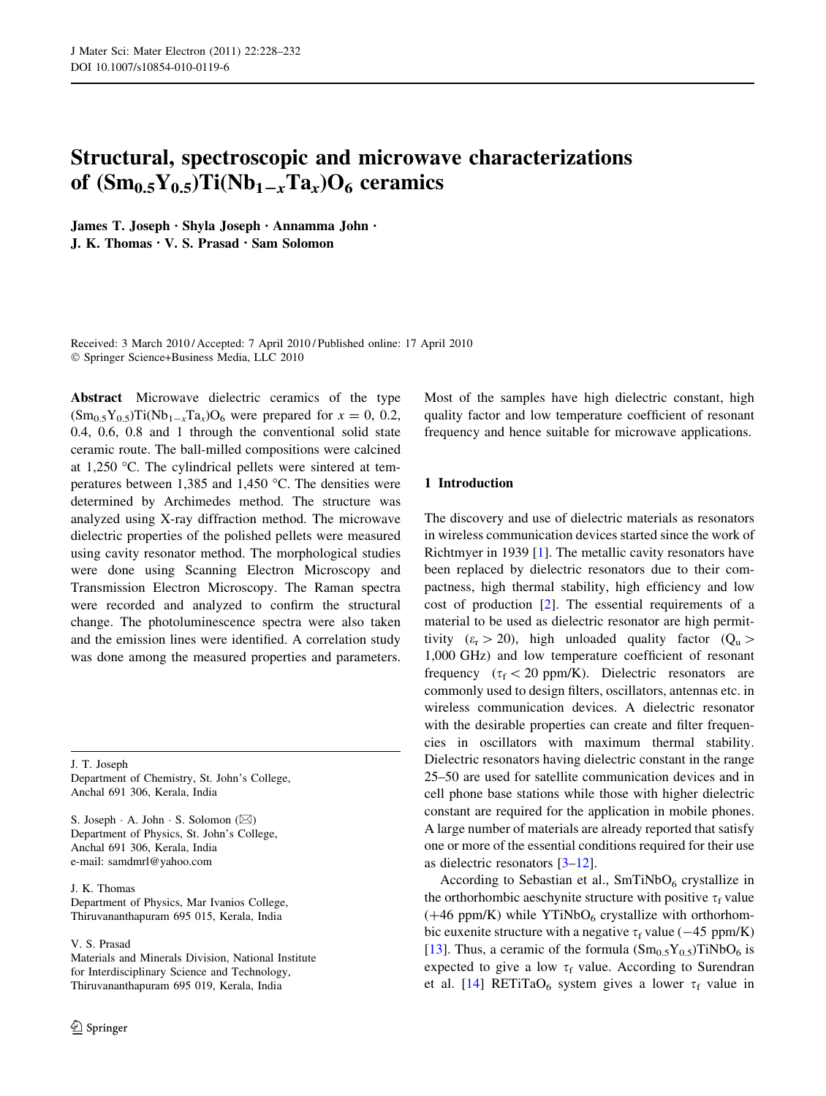# Structural, spectroscopic and microwave characterizations of  $(Sm_{0.5}Y_{0.5})Ti(Nb_{1-x}Ta_x)O_6$  ceramics

James T. Joseph • Shyla Joseph • Annamma John • J. K. Thomas • V. S. Prasad • Sam Solomon

Received: 3 March 2010 / Accepted: 7 April 2010 / Published online: 17 April 2010 - Springer Science+Business Media, LLC 2010

Abstract Microwave dielectric ceramics of the type  $(Sm_{0.5}Y_{0.5})Ti(Nb_{1-x}Ta_x)O_6$  were prepared for  $x = 0, 0.2$ , 0.4, 0.6, 0.8 and 1 through the conventional solid state ceramic route. The ball-milled compositions were calcined at 1,250  $\degree$ C. The cylindrical pellets were sintered at temperatures between 1,385 and 1,450  $^{\circ}$ C. The densities were determined by Archimedes method. The structure was analyzed using X-ray diffraction method. The microwave dielectric properties of the polished pellets were measured using cavity resonator method. The morphological studies were done using Scanning Electron Microscopy and Transmission Electron Microscopy. The Raman spectra were recorded and analyzed to confirm the structural change. The photoluminescence spectra were also taken and the emission lines were identified. A correlation study was done among the measured properties and parameters.

J. T. Joseph

Department of Chemistry, St. John's College, Anchal 691 306, Kerala, India

S. Joseph  $\cdot$  A. John  $\cdot$  S. Solomon ( $\boxtimes$ ) Department of Physics, St. John's College, Anchal 691 306, Kerala, India e-mail: samdmrl@yahoo.com

J. K. Thomas

Department of Physics, Mar Ivanios College, Thiruvananthapuram 695 015, Kerala, India

V. S. Prasad

Materials and Minerals Division, National Institute for Interdisciplinary Science and Technology, Thiruvananthapuram 695 019, Kerala, India

Most of the samples have high dielectric constant, high quality factor and low temperature coefficient of resonant frequency and hence suitable for microwave applications.

# 1 Introduction

The discovery and use of dielectric materials as resonators in wireless communication devices started since the work of Richtmyer in 1939 [[1\]](#page-4-0). The metallic cavity resonators have been replaced by dielectric resonators due to their compactness, high thermal stability, high efficiency and low cost of production [[2\]](#page-4-0). The essential requirements of a material to be used as dielectric resonator are high permittivity  $(\varepsilon_{\rm r} > 20)$ , high unloaded quality factor  $(Q_{\rm u} >$ 1,000 GHz) and low temperature coefficient of resonant frequency ( $\tau_f$  < 20 ppm/K). Dielectric resonators are commonly used to design filters, oscillators, antennas etc. in wireless communication devices. A dielectric resonator with the desirable properties can create and filter frequencies in oscillators with maximum thermal stability. Dielectric resonators having dielectric constant in the range 25–50 are used for satellite communication devices and in cell phone base stations while those with higher dielectric constant are required for the application in mobile phones. A large number of materials are already reported that satisfy one or more of the essential conditions required for their use as dielectric resonators [\[3–12](#page-4-0)].

According to Sebastian et al.,  $SmTiNbO<sub>6</sub>$  crystallize in the orthorhombic aeschynite structure with positive  $\tau_f$  value  $(+46 \text{ ppm/K})$  while YTiNbO<sub>6</sub> crystallize with orthorhombic euxenite structure with a negative  $\tau_f$  value (-45 ppm/K) [\[13](#page-4-0)]. Thus, a ceramic of the formula  $(Sm_{0.5}Y_{0.5})$ TiNbO<sub>6</sub> is expected to give a low  $\tau_f$  value. According to Surendran et al. [\[14](#page-4-0)] RETiTaO<sub>6</sub> system gives a lower  $\tau_f$  value in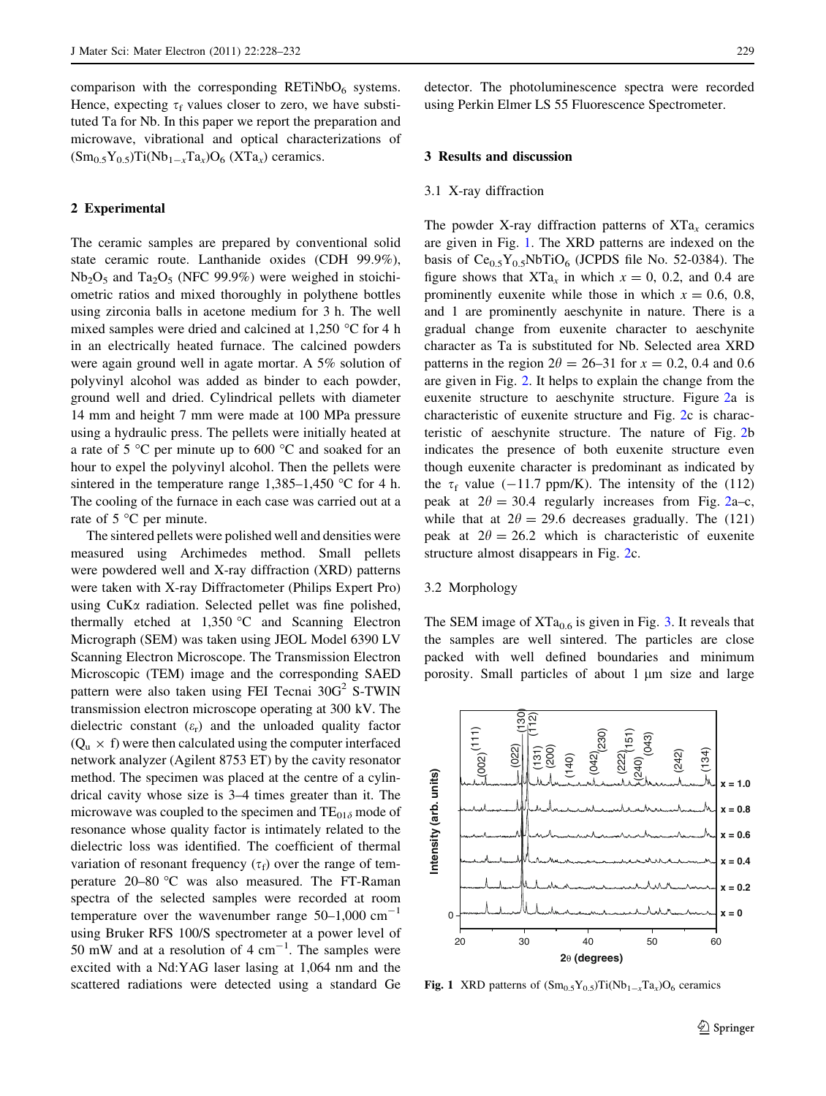comparison with the corresponding  $RETiNbO<sub>6</sub>$  systems. Hence, expecting  $\tau_f$  values closer to zero, we have substituted Ta for Nb. In this paper we report the preparation and microwave, vibrational and optical characterizations of  $(Sm<sub>0.5</sub>Y<sub>0.5</sub>)Ti(Nb<sub>1-x</sub>Ta<sub>x</sub>)O<sub>6</sub> (XTa<sub>x</sub>)$  ceramics.

#### 2 Experimental

The ceramic samples are prepared by conventional solid state ceramic route. Lanthanide oxides (CDH 99.9%),  $Nb<sub>2</sub>O<sub>5</sub>$  and Ta<sub>2</sub>O<sub>5</sub> (NFC 99.9%) were weighed in stoichiometric ratios and mixed thoroughly in polythene bottles using zirconia balls in acetone medium for 3 h. The well mixed samples were dried and calcined at  $1,250$  °C for 4 h in an electrically heated furnace. The calcined powders were again ground well in agate mortar. A 5% solution of polyvinyl alcohol was added as binder to each powder, ground well and dried. Cylindrical pellets with diameter 14 mm and height 7 mm were made at 100 MPa pressure using a hydraulic press. The pellets were initially heated at a rate of  $5^{\circ}$ C per minute up to  $600^{\circ}$ C and soaked for an hour to expel the polyvinyl alcohol. Then the pellets were sintered in the temperature range  $1,385-1,450$  °C for 4 h. The cooling of the furnace in each case was carried out at a rate of  $5^{\circ}$ C per minute.

The sintered pellets were polished well and densities were measured using Archimedes method. Small pellets were powdered well and X-ray diffraction (XRD) patterns were taken with X-ray Diffractometer (Philips Expert Pro) using CuKa radiation. Selected pellet was fine polished, thermally etched at  $1,350$  °C and Scanning Electron Micrograph (SEM) was taken using JEOL Model 6390 LV Scanning Electron Microscope. The Transmission Electron Microscopic (TEM) image and the corresponding SAED pattern were also taken using FEI Tecnai  $30G<sup>2</sup>$  S-TWIN transmission electron microscope operating at 300 kV. The dielectric constant  $(\varepsilon_r)$  and the unloaded quality factor  $(Q_u \times f)$  were then calculated using the computer interfaced network analyzer (Agilent 8753 ET) by the cavity resonator method. The specimen was placed at the centre of a cylindrical cavity whose size is 3–4 times greater than it. The microwave was coupled to the specimen and  $TE_{01\delta}$  mode of resonance whose quality factor is intimately related to the dielectric loss was identified. The coefficient of thermal variation of resonant frequency  $(\tau_f)$  over the range of temperature 20–80 °C was also measured. The FT-Raman spectra of the selected samples were recorded at room temperature over the wavenumber range  $50-1,000$  cm<sup>-1</sup> using Bruker RFS 100/S spectrometer at a power level of 50 mW and at a resolution of 4  $cm^{-1}$ . The samples were excited with a Nd:YAG laser lasing at 1,064 nm and the scattered radiations were detected using a standard Ge detector. The photoluminescence spectra were recorded using Perkin Elmer LS 55 Fluorescence Spectrometer.

# 3 Results and discussion

#### 3.1 X-ray diffraction

The powder X-ray diffraction patterns of  $XTa<sub>x</sub>$  ceramics are given in Fig. 1. The XRD patterns are indexed on the basis of  $Ce<sub>0.5</sub>Y<sub>0.5</sub>NbTiO<sub>6</sub>$  (JCPDS file No. 52-0384). The figure shows that  $XTa_x$  in which  $x = 0$ , 0.2, and 0.4 are prominently euxenite while those in which  $x = 0.6, 0.8$ , and 1 are prominently aeschynite in nature. There is a gradual change from euxenite character to aeschynite character as Ta is substituted for Nb. Selected area XRD patterns in the region  $2\theta = 26-31$  for  $x = 0.2$ , 0.4 and 0.6 are given in Fig. [2](#page-2-0). It helps to explain the change from the euxenite structure to aeschynite structure. Figure [2](#page-2-0)a is characteristic of euxenite structure and Fig. [2c](#page-2-0) is characteristic of aeschynite structure. The nature of Fig. [2](#page-2-0)b indicates the presence of both euxenite structure even though euxenite character is predominant as indicated by the  $\tau_f$  value (-11.7 ppm/K). The intensity of the (112) peak at  $2\theta = 30.4$  regularly increases from Fig. [2a](#page-2-0)–c, while that at  $2\theta = 29.6$  decreases gradually. The (121) peak at  $2\theta = 26.2$  which is characteristic of euxenite structure almost disappears in Fig. [2](#page-2-0)c.

# 3.2 Morphology

The SEM image of  $XTa_{0.6}$  is given in Fig. [3](#page-2-0). It reveals that the samples are well sintered. The particles are close packed with well defined boundaries and minimum porosity. Small particles of about 1 µm size and large



**Fig. 1** XRD patterns of  $(Sm_{0.5}Y_{0.5})Ti(Nb_{1-x}Ta_x)O_6$  ceramics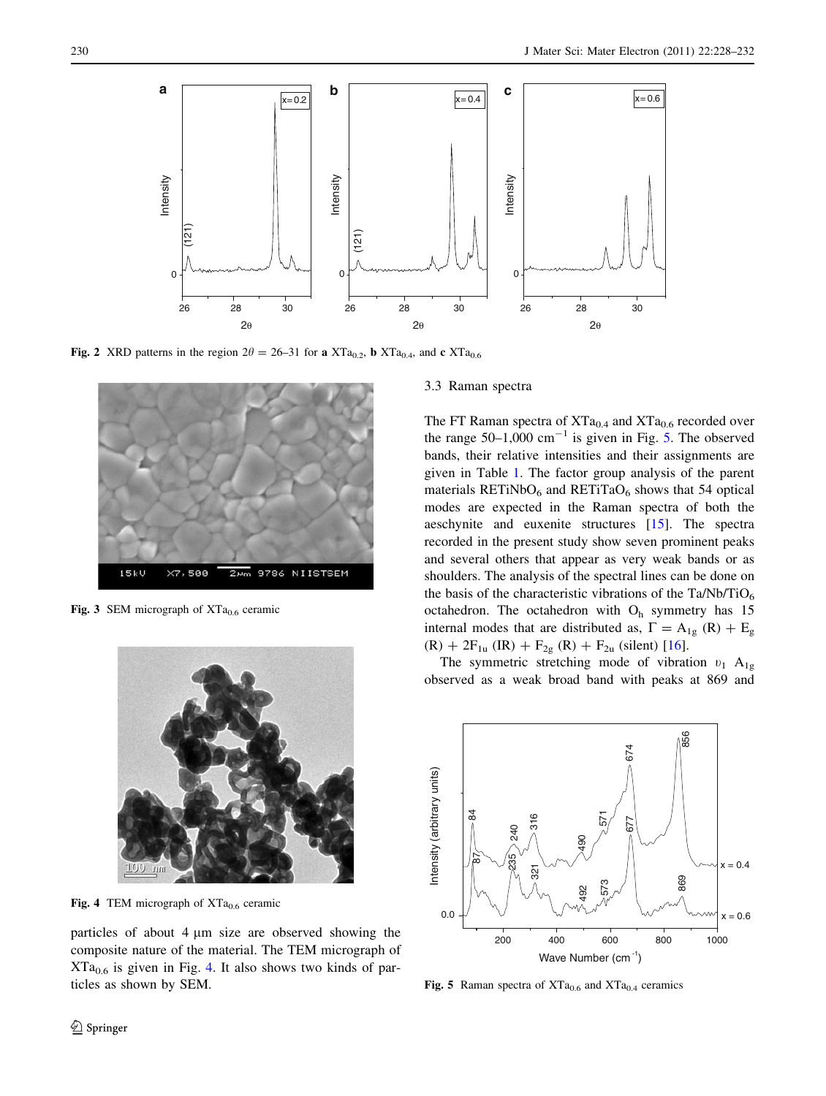<span id="page-2-0"></span>

Fig. 2 XRD patterns in the region  $2\theta = 26-31$  for a XTa<sub>0.2</sub>, b XTa<sub>0.4</sub>, and c XTa<sub>0.6</sub>



Fig. 3 SEM micrograph of  $XTa<sub>0.6</sub>$  ceramic



Fig. 4 TEM micrograph of  $XTa<sub>0.6</sub>$  ceramic

particles of about  $4 \mu m$  size are observed showing the composite nature of the material. The TEM micrograph of  $XTa<sub>0.6</sub>$  is given in Fig. 4. It also shows two kinds of particles as shown by SEM.

#### 3.3 Raman spectra

The FT Raman spectra of  $XTa<sub>0.4</sub>$  and  $XTa<sub>0.6</sub>$  recorded over the range  $50-1,000$  cm<sup>-1</sup> is given in Fig. 5. The observed bands, their relative intensities and their assignments are given in Table [1.](#page-3-0) The factor group analysis of the parent materials RETiNbO $_6$  and RETiTaO $_6$  shows that 54 optical modes are expected in the Raman spectra of both the aeschynite and euxenite structures [\[15](#page-4-0)]. The spectra recorded in the present study show seven prominent peaks and several others that appear as very weak bands or as shoulders. The analysis of the spectral lines can be done on the basis of the characteristic vibrations of the Ta/Nb/TiO<sub>6</sub> octahedron. The octahedron with  $O_h$  symmetry has 15 internal modes that are distributed as,  $\Gamma = A_{1g} (R) + E_{g}$  $(R) + 2F_{1u}$  (IR) +  $F_{2g}$  (R) +  $F_{2u}$  (silent) [\[16](#page-4-0)].

The symmetric stretching mode of vibration  $v_1$  A<sub>1g</sub> observed as a weak broad band with peaks at 869 and



Fig. 5 Raman spectra of  $XTa_{0.6}$  and  $XTa_{0.4}$  ceramics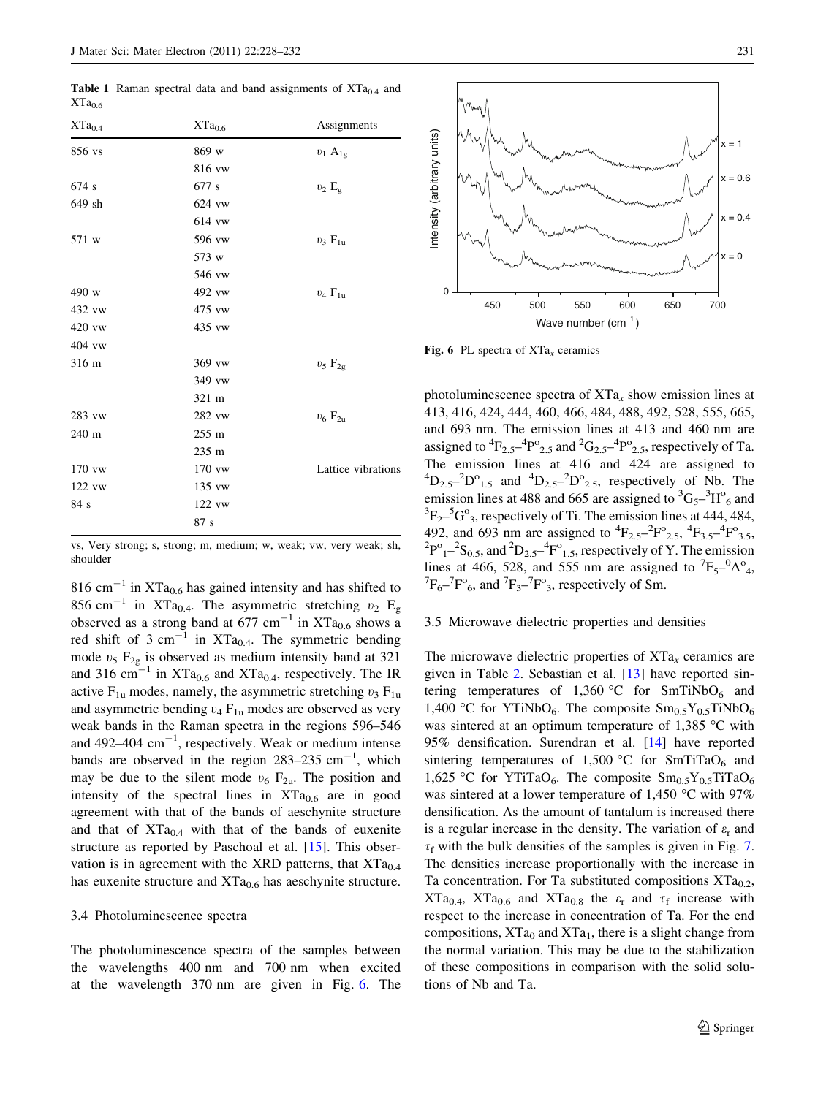<span id="page-3-0"></span>**Table 1** Raman spectral data and band assignments of  $XTa<sub>0.4</sub>$  and  $XTa<sub>0.6</sub>$ 

| $XTa_{0.4}$ | $XTa_{0.6}$     | Assignments        |
|-------------|-----------------|--------------------|
| 856 vs      | 869 w           | $v_1$ $A_{1g}$     |
|             | 816 vw          |                    |
| 674 s       | 677 s           | $v_2 E_g$          |
| 649 sh      | 624 vw          |                    |
|             | 614 vw          |                    |
| 571 w       | 596 vw          | $v_3$ $F_{1u}$     |
|             | 573 w           |                    |
|             | 546 vw          |                    |
| 490 w       | 492 vw          | $v_4 F_{1n}$       |
| 432 vw      | 475 vw          |                    |
| 420 vw      | 435 vw          |                    |
| 404 vw      |                 |                    |
| 316 m       | 369 vw          | $v_5 F_{2g}$       |
|             | 349 vw          |                    |
|             | 321 m           |                    |
| 283 vw      | 282 vw          | $v_6 F_{2u}$       |
| 240 m       | $255 \text{ m}$ |                    |
|             | 235 m           |                    |
| $170$ vw    | 170 vw          | Lattice vibrations |
| 122 vw      | 135 vw          |                    |
| 84 s        | $122$ vw        |                    |
|             | 87s             |                    |

vs, Very strong; s, strong; m, medium; w, weak; vw, very weak; sh, shoulder

816 cm<sup>-1</sup> in XTa<sub>0.6</sub> has gained intensity and has shifted to 856 cm<sup>-1</sup> in XTa<sub>0.4</sub>. The asymmetric stretching  $v_2$  E<sub>g</sub> observed as a strong band at 677 cm<sup>-1</sup> in XTa<sub>0.6</sub> shows a red shift of 3 cm<sup>-1</sup> in XTa<sub>0.4</sub>. The symmetric bending mode  $v_5$  F<sub>2g</sub> is observed as medium intensity band at 321 and 316 cm<sup>-1</sup> in XTa<sub>0.6</sub> and XTa<sub>0.4</sub>, respectively. The IR active  $F_{1u}$  modes, namely, the asymmetric stretching  $v_3 F_{1u}$ and asymmetric bending  $v_4$  F<sub>1u</sub> modes are observed as very weak bands in the Raman spectra in the regions 596–546 and 492–404  $\text{cm}^{-1}$ , respectively. Weak or medium intense bands are observed in the region  $283-235$  cm<sup>-1</sup>, which may be due to the silent mode  $v_6$  F<sub>2u</sub>. The position and intensity of the spectral lines in  $XTa_{0.6}$  are in good agreement with that of the bands of aeschynite structure and that of  $XTa<sub>0.4</sub>$  with that of the bands of euxenite structure as reported by Paschoal et al. [\[15](#page-4-0)]. This observation is in agreement with the XRD patterns, that  $XTa_{0.4}$ has euxenite structure and  $XTa_{0.6}$  has aeschynite structure.

#### 3.4 Photoluminescence spectra

The photoluminescence spectra of the samples between the wavelengths 400 nm and 700 nm when excited at the wavelength 370 nm are given in Fig. 6. The



Fig. 6 PL spectra of  $XTa<sub>x</sub>$  ceramics

photoluminescence spectra of  $XTa_x$  show emission lines at 413, 416, 424, 444, 460, 466, 484, 488, 492, 528, 555, 665, and 693 nm. The emission lines at 413 and 460 nm are assigned to  ${}^{4}F_{2.5}{}^{4}P^{o}{}_{2.5}$  and  ${}^{2}G_{2.5}{}^{4}P^{o}{}_{2.5}$ , respectively of Ta. The emission lines at 416 and 424 are assigned to  ${}^{4}D_{2.5}$  ${}^{-2}D^{o}_{1.5}$  and  ${}^{4}D_{2.5}$  ${}^{-2}D^{o}_{2.5}$ , respectively of Nb. The emission lines at 488 and 665 are assigned to  ${}^{3}G_{5}$ <sup>-3</sup>H<sup>o</sup><sub>6</sub> and  ${}^{3}F_{2}$ – ${}^{5}G^{o}$ <sub>3</sub>, respectively of Ti. The emission lines at 444, 484, 492, and 693 nm are assigned to  ${}^{4}F_{2.5}{}^{2}F^{0}{}_{2.5}{}^{4}F_{3.5}{}^{4}F^{0}{}_{3.5}$ <br> ${}^{2}F^{0}{}_{2.5}{}^{2}$  and  ${}^{2}D$   ${}^{4}F^{0}$  reprectively of Y. The emission  $P^{o}{}_{1}$ –<sup>2</sup>S<sub>0.5</sub>, and <sup>2</sup>D<sub>2.5</sub>–<sup>4</sup>F<sup>o</sup><sub>1.5</sub>, respectively of Y. The emission lines at 466, 528, and 555 nm are assigned to  ${}^{7}F_{5}{}^{-0}A^{o}_{4}$ ,<br> ${}^{7}F_{1}{}^{7}F^{o}_{2}$ , and  ${}^{7}F_{1}{}^{7}F^{o}_{2}$ , respectively of Sm  $F_6$ –<sup>7</sup> $F_6$ , and <sup>7</sup> $F_3$ –<sup>7</sup> $F_3$ , respectively of Sm.

## 3.5 Microwave dielectric properties and densities

The microwave dielectric properties of  $XTa<sub>x</sub>$  ceramics are given in Table [2](#page-4-0). Sebastian et al. [[13\]](#page-4-0) have reported sintering temperatures of 1,360 °C for SmTiNbO<sub>6</sub> and 1,400 °C for YTiNbO<sub>6</sub>. The composite  $Sm<sub>0.5</sub>Y<sub>0.5</sub>TiNbO<sub>6</sub>$ was sintered at an optimum temperature of 1,385  $^{\circ}$ C with 95% densification. Surendran et al. [\[14](#page-4-0)] have reported sintering temperatures of 1,500 °C for SmTiTaO<sub>6</sub> and 1,625 °C for YTiTaO<sub>6</sub>. The composite  $\text{Sm}_{0.5}\text{Y}_{0.5}$ TiTaO<sub>6</sub> was sintered at a lower temperature of 1,450 °C with 97% densification. As the amount of tantalum is increased there is a regular increase in the density. The variation of  $\varepsilon_r$  and  $\tau_f$  with the bulk densities of the samples is given in Fig. [7.](#page-4-0) The densities increase proportionally with the increase in Ta concentration. For Ta substituted compositions  $XTa_{0.2}$ ,  $XTa<sub>0.4</sub>$ ,  $XTa<sub>0.6</sub>$  and  $XTa<sub>0.8</sub>$  the  $\varepsilon_r$  and  $\tau_f$  increase with respect to the increase in concentration of Ta. For the end compositions,  $XTa<sub>0</sub>$  and  $XTa<sub>1</sub>$ , there is a slight change from the normal variation. This may be due to the stabilization of these compositions in comparison with the solid solutions of Nb and Ta.